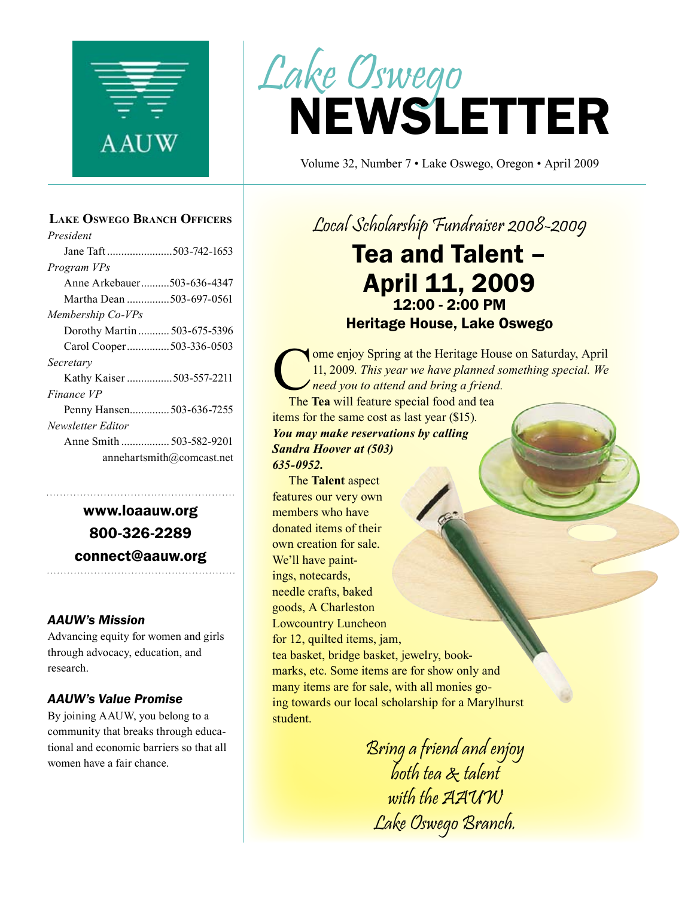

#### **Lake Oswego Branch Officers**

| President                    |
|------------------------------|
| Jane Taft503-742-1653        |
| Program VPs                  |
| Anne Arkebauer503-636-4347   |
| Martha Dean 503-697-0561     |
| Membership Co-VPs            |
| Dorothy Martin  503-675-5396 |
| Carol Cooper503-336-0503     |
| Secretary                    |
| Kathy Kaiser 503-557-2211    |
| Finance VP                   |
| Penny Hansen 503-636-7255    |
| Newsletter Editor            |
|                              |
| annehartsmith@comcast.net    |
|                              |

www.loaauw.org 800-326-2289 connect@aauw.org

#### *AAUW's Mission*

Advancing equity for women and girls through advocacy, education, and research.

#### *AAUW's Value Promise*

By joining AAUW, you belong to a community that breaks through educational and economic barriers so that all women have a fair chance.

# NEWSLETTER Lake Oswego

Volume 32, Number 7 • Lake Oswego, Oregon • April 2009

Local Scholarship Fundraiser 2008-2009

### Tea and Talent – April 11, 2009 12:00 - 2:00 PM Heritage House, Lake Oswego

ome enjoy Spring at the Heritage House on Saturday, April 11, 2009. *This year we have planned something special. We need you to attend and bring a friend.*

The **Tea** will feature special food and tea items for the same cost as last year (\$15). *You may make reservations by calling Sandra Hoover at (503) 635-0952.*

The **Talent** aspect features our very own members who have donated items of their own creation for sale. We'll have paintings, notecards, needle crafts, baked goods, A Charleston Lowcountry Luncheon for 12, quilted items, jam, tea basket, bridge basket, jewelry, bookmarks, etc. Some items are for show only and many items are for sale, with all monies going towards our local scholarship for a Marylhurst student.

> Bring a friend and enjoy both tea & talent with the AAUW Lake Oswego Branch.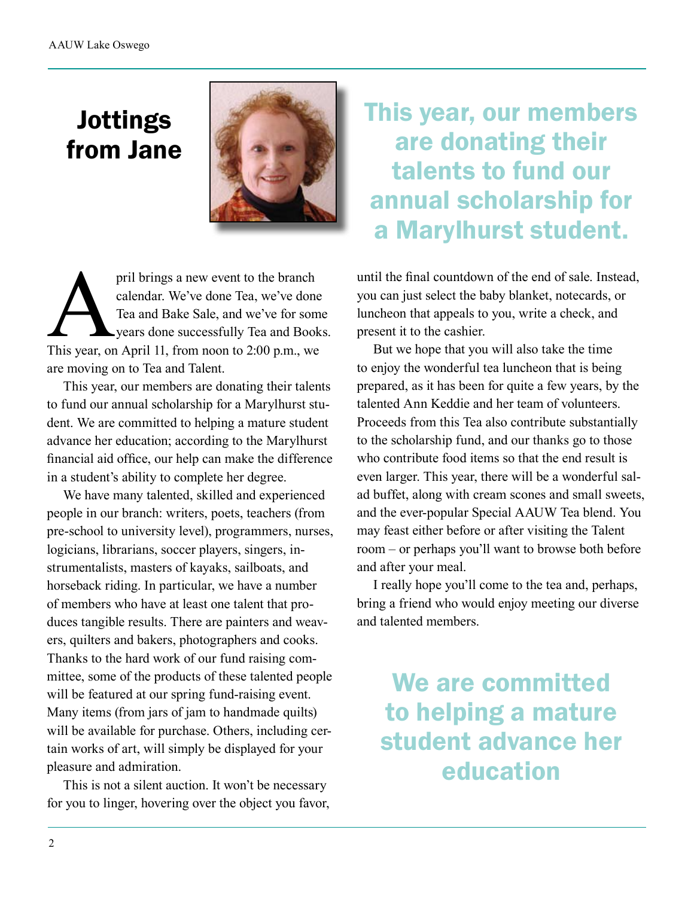## Jottings from Jane



pril brings a new event to the branch<br>
calendar. We've done Tea, we've done<br>
Tea and Bake Sale, and we've for som<br>
years done successfully Tea and Book<br>
This year, on April 11, from noon to 2:00 p.m., we calendar. We've done Tea, we've done Tea and Bake Sale, and we've for some years done successfully Tea and Books. are moving on to Tea and Talent.

This year, our members are donating their talents to fund our annual scholarship for a Marylhurst student. We are committed to helping a mature student advance her education; according to the Marylhurst financial aid office, our help can make the difference in a student's ability to complete her degree.

We have many talented, skilled and experienced people in our branch: writers, poets, teachers (from pre-school to university level), programmers, nurses, logicians, librarians, soccer players, singers, instrumentalists, masters of kayaks, sailboats, and horseback riding. In particular, we have a number of members who have at least one talent that produces tangible results. There are painters and weavers, quilters and bakers, photographers and cooks. Thanks to the hard work of our fund raising committee, some of the products of these talented people will be featured at our spring fund-raising event. Many items (from jars of jam to handmade quilts) will be available for purchase. Others, including certain works of art, will simply be displayed for your pleasure and admiration.

This is not a silent auction. It won't be necessary for you to linger, hovering over the object you favor, This year, our members are donating their talents to fund our annual scholarship for a Marylhurst student.

until the final countdown of the end of sale. Instead, you can just select the baby blanket, notecards, or luncheon that appeals to you, write a check, and present it to the cashier.

But we hope that you will also take the time to enjoy the wonderful tea luncheon that is being prepared, as it has been for quite a few years, by the talented Ann Keddie and her team of volunteers. Proceeds from this Tea also contribute substantially to the scholarship fund, and our thanks go to those who contribute food items so that the end result is even larger. This year, there will be a wonderful salad buffet, along with cream scones and small sweets, and the ever-popular Special AAUW Tea blend. You may feast either before or after visiting the Talent room – or perhaps you'll want to browse both before and after your meal.

I really hope you'll come to the tea and, perhaps, bring a friend who would enjoy meeting our diverse and talented members.

We are committed to helping a mature student advance her education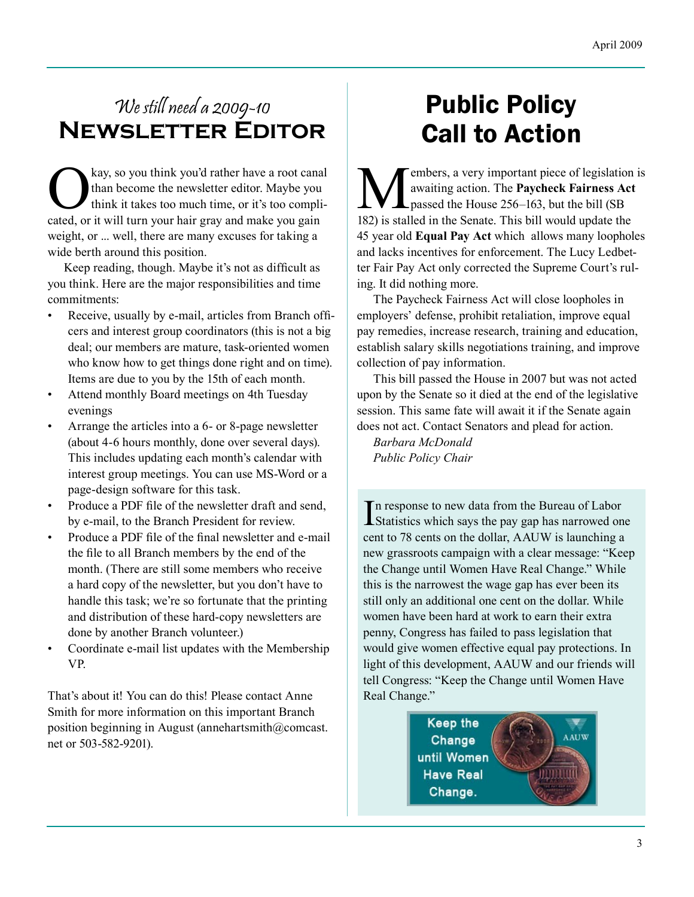### We still need a 2009-10 **Newsletter Editor**

Kay, so you think you'd rather have a root canal<br>than become the newsletter editor. Maybe you<br>think it takes too much time, or it's too compli-<br>cated or it will turn your hair gray and make you gain than become the newsletter editor. Maybe you think it takes too much time, or it's too complicated, or it will turn your hair gray and make you gain weight, or ... well, there are many excuses for taking a wide berth around this position.

Keep reading, though. Maybe it's not as difficult as you think. Here are the major responsibilities and time commitments:

- Receive, usually by e-mail, articles from Branch officers and interest group coordinators (this is not a big deal; our members are mature, task-oriented women who know how to get things done right and on time). Items are due to you by the 15th of each month.
- Attend monthly Board meetings on 4th Tuesday evenings
- Arrange the articles into a 6- or 8-page newsletter (about 4-6 hours monthly, done over several days). This includes updating each month's calendar with interest group meetings. You can use MS-Word or a page-design software for this task.
- Produce a PDF file of the newsletter draft and send, by e-mail, to the Branch President for review.
- Produce a PDF file of the final newsletter and e-mail the file to all Branch members by the end of the month. (There are still some members who receive a hard copy of the newsletter, but you don't have to handle this task; we're so fortunate that the printing and distribution of these hard-copy newsletters are done by another Branch volunteer.)
- Coordinate e-mail list updates with the Membership VP.

That's about it! You can do this! Please contact Anne Smith for more information on this important Branch position beginning in August (annehartsmith@comcast. net or 503-582-9201).

# Public Policy Call to Action

Wembers, a very important piece of legislation is<br>awaiting action. The **Paycheck Fairness Act**<br>passed the House 256–163, but the bill (SB<br>182) is stalled in the Senate. This bill would undate the awaiting action. The **Paycheck Fairness Act**  passed the House 256–163, but the bill (SB 182) is stalled in the Senate. This bill would update the 45 year old **Equal Pay Act** which allows many loopholes and lacks incentives for enforcement. The Lucy Ledbetter Fair Pay Act only corrected the Supreme Court's ruling. It did nothing more.

The Paycheck Fairness Act will close loopholes in employers' defense, prohibit retaliation, improve equal pay remedies, increase research, training and education, establish salary skills negotiations training, and improve collection of pay information.

This bill passed the House in 2007 but was not acted upon by the Senate so it died at the end of the legislative session. This same fate will await it if the Senate again does not act. Contact Senators and plead for action.

*Barbara McDonald Public Policy Chair*

In response to new data from the Bureau of Labor<br>Statistics which says the pay gap has narrowed on Statistics which says the pay gap has narrowed one cent to 78 cents on the dollar, AAUW is launching a new grassroots campaign with a clear message: "Keep the Change until Women Have Real Change." While this is the narrowest the wage gap has ever been its still only an additional one cent on the dollar. While women have been hard at work to earn their extra penny, Congress has failed to pass legislation that would give women effective equal pay protections. In light of this development, AAUW and our friends will tell Congress: "Keep the Change until Women Have Real Change."

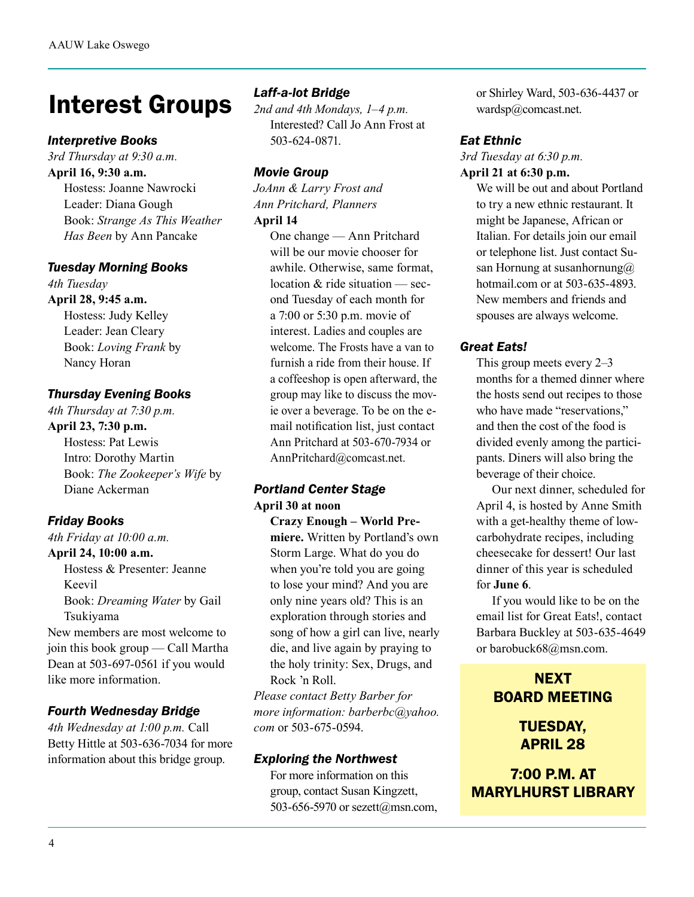# Interest Groups

#### *Interpretive Books*

*3rd Thursday at 9:30 a.m.* **April 16, 9:30 a.m.**

Hostess: Joanne Nawrocki Leader: Diana Gough Book: *Strange As This Weather Has Been* by Ann Pancake

#### *Tuesday Morning Books*

*4th Tuesday* **April 28, 9:45 a.m.** Hostess: Judy Kelley Leader: Jean Cleary Book: *Loving Frank* by Nancy Horan

#### *Thursday Evening Books*

*4th Thursday at 7:30 p.m.*

**April 23, 7:30 p.m.**  Hostess: Pat Lewis

Intro: Dorothy Martin Book: *The Zookeeper's Wife* by Diane Ackerman

#### *Friday Books*

*4th Friday at 10:00 a.m.*

#### **April 24, 10:00 a.m.**

Hostess & Presenter: Jeanne Keevil Book: *Dreaming Water* by Gail Tsukiyama

New members are most welcome to join this book group — Call Martha Dean at 503-697-0561 if you would like more information.

#### *Fourth Wednesday Bridge*

*4th Wednesday at 1:00 p.m.* Call Betty Hittle at 503-636-7034 for more information about this bridge group.

#### *Laff-a-lot Bridge*

*2nd and 4th Mondays, 1–4 p.m.* Interested? Call Jo Ann Frost at 503-624-0871.

#### *Movie Group*

*JoAnn & Larry Frost and Ann Pritchard, Planners*

#### **April 14**

One change — Ann Pritchard will be our movie chooser for awhile. Otherwise, same format, location & ride situation — second Tuesday of each month for a 7:00 or 5:30 p.m. movie of interest. Ladies and couples are welcome. The Frosts have a van to furnish a ride from their house. If a coffeeshop is open afterward, the group may like to discuss the movie over a beverage. To be on the email notification list, just contact Ann Pritchard at 503-670-7934 or AnnPritchard@comcast.net.

#### *Portland Center Stage* **April 30 at noon**

**Crazy Enough – World Premiere.** Written by Portland's own Storm Large. What do you do when you're told you are going to lose your mind? And you are only nine years old? This is an exploration through stories and song of how a girl can live, nearly die, and live again by praying to the holy trinity: Sex, Drugs, and Rock 'n Roll.

*Please contact Betty Barber for more information: barberbc@yahoo. com* or 503-675-0594.

#### *Exploring the Northwest*

For more information on this group, contact Susan Kingzett, 503-656-5970 or sezett@msn.com, or Shirley Ward, 503-636-4437 or wardsp@comcast.net.

#### *Eat Ethnic*

*3rd Tuesday at 6:30 p.m.* **April 21 at 6:30 p.m.**

> We will be out and about Portland to try a new ethnic restaurant. It might be Japanese, African or Italian. For details join our email or telephone list. Just contact Susan Hornung at susanhornung $@$ hotmail.com or at 503-635-4893. New members and friends and spouses are always welcome.

#### *Great Eats!*

This group meets every 2–3 months for a themed dinner where the hosts send out recipes to those who have made "reservations," and then the cost of the food is divided evenly among the participants. Diners will also bring the beverage of their choice.

 Our next dinner, scheduled for April 4, is hosted by Anne Smith with a get-healthy theme of lowcarbohydrate recipes, including cheesecake for dessert! Our last dinner of this year is scheduled for **June 6**.

 If you would like to be on the email list for Great Eats!, contact Barbara Buckley at 503-635-4649 or barobuck68@msn.com.

### **NEXT** BOARD MEETING

TUESDAY, APRIL 28

7:00 P.M. AT MARYLHURST LIBRARY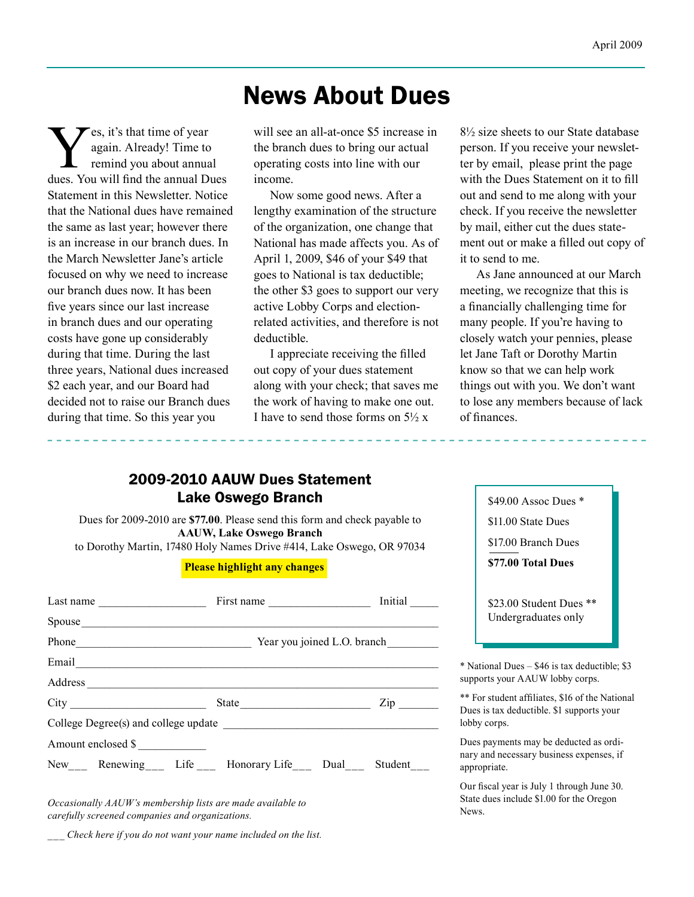### News About Dues

**V**es, it's that time of year<br>again. Already! Time to<br>remind you about annual Displays again. Already! Time to remind you about annual dues. You will find the annual Dues Statement in this Newsletter. Notice that the National dues have remained the same as last year; however there is an increase in our branch dues. In the March Newsletter Jane's article focused on why we need to increase our branch dues now. It has been five years since our last increase in branch dues and our operating costs have gone up considerably during that time. During the last three years, National dues increased \$2 each year, and our Board had decided not to raise our Branch dues during that time. So this year you

will see an all-at-once \$5 increase in the branch dues to bring our actual operating costs into line with our income.

Now some good news. After a lengthy examination of the structure of the organization, one change that National has made affects you. As of April 1, 2009, \$46 of your \$49 that goes to National is tax deductible; the other \$3 goes to support our very active Lobby Corps and electionrelated activities, and therefore is not deductible.

I appreciate receiving the filled out copy of your dues statement along with your check; that saves me the work of having to make one out. I have to send those forms on  $5\frac{1}{2}x$ 

8½ size sheets to our State database person. If you receive your newsletter by email, please print the page with the Dues Statement on it to fill out and send to me along with your check. If you receive the newsletter by mail, either cut the dues statement out or make a filled out copy of it to send to me.

As Jane announced at our March meeting, we recognize that this is a financially challenging time for many people. If you're having to closely watch your pennies, please let Jane Taft or Dorothy Martin know so that we can help work things out with you. We don't want to lose any members because of lack of finances.

#### 2009-2010 AAUW Dues Statement Lake Oswego Branch

Dues for 2009-2010 are **\$77.00**. Please send this form and check payable to **AAUW, Lake Oswego Branch** to Dorothy Martin, 17480 Holy Names Drive #414, Lake Oswego, OR 97034

#### **Please highlight any changes**

| Spouse                                       |                                   |                     |  |  |  |  |  |
|----------------------------------------------|-----------------------------------|---------------------|--|--|--|--|--|
|                                              | Phone Year you joined L.O. branch |                     |  |  |  |  |  |
|                                              |                                   |                     |  |  |  |  |  |
| Address                                      |                                   |                     |  |  |  |  |  |
| City                                         | State                             | $\mathsf{Zip} \_\_$ |  |  |  |  |  |
|                                              |                                   |                     |  |  |  |  |  |
| Amount enclosed \$                           |                                   |                     |  |  |  |  |  |
| New Renewing Life Honorary Life Dual Student |                                   |                     |  |  |  |  |  |

*Occasionally AAUW's membership lists are made available to carefully screened companies and organizations.*

*\_\_\_ Check here if you do not want your name included on the list.*

\$49.00 Assoc Dues \* \$11.00 State Dues \$17.00 Branch Dues **\$77.00 Total Dues** \$23.00 Student Dues \*\* Undergraduates only \* National Dues – \$46 is tax deductible; \$3 supports your AAUW lobby corps.

\*\* For student affiliates, \$16 of the National Dues is tax deductible. \$1 supports your lobby corps.

Dues payments may be deducted as ordinary and necessary business expenses, if appropriate.

Our fiscal year is July 1 through June 30. State dues include \$1.00 for the Oregon News.